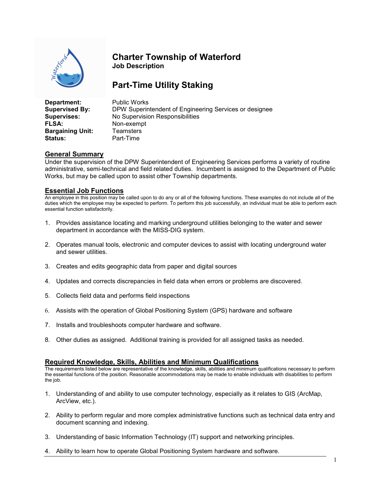

## Charter Township of Waterford Job Description

# Part-Time Utility Staking

| Department:             | <b>Public Works</b>                                    |  |  |
|-------------------------|--------------------------------------------------------|--|--|
| <b>Supervised By:</b>   | DPW Superintendent of Engineering Services or designee |  |  |
| Supervises:             | No Supervision Responsibilities                        |  |  |
| <b>FLSA:</b>            | Non-exempt                                             |  |  |
| <b>Bargaining Unit:</b> | <b>Teamsters</b>                                       |  |  |
| <b>Status:</b>          | Part-Time                                              |  |  |

#### General Summary

Under the supervision of the DPW Superintendent of Engineering Services performs a variety of routine administrative, semi-technical and field related duties. Incumbent is assigned to the Department of Public Works, but may be called upon to assist other Township departments.

#### Essential Job Functions

An employee in this position may be called upon to do any or all of the following functions. These examples do not include all of the duties which the employee may be expected to perform. To perform this job successfully, an individual must be able to perform each essential function satisfactorily.

- 1. Provides assistance locating and marking underground utilities belonging to the water and sewer department in accordance with the MISS-DIG system.
- 2. Operates manual tools, electronic and computer devices to assist with locating underground water and sewer utilities.
- 3. Creates and edits geographic data from paper and digital sources
- 4. Updates and corrects discrepancies in field data when errors or problems are discovered.
- 5. Collects field data and performs field inspections
- 6. Assists with the operation of Global Positioning System (GPS) hardware and software
- 7. Installs and troubleshoots computer hardware and software.
- 8. Other duties as assigned. Additional training is provided for all assigned tasks as needed.

### Required Knowledge, Skills, Abilities and Minimum Qualifications

The requirements listed below are representative of the knowledge, skills, abilities and minimum qualifications necessary to perform the essential functions of the position. Reasonable accommodations may be made to enable individuals with disabilities to perform the job.

- 1. Understanding of and ability to use computer technology, especially as it relates to GIS (ArcMap, ArcView, etc.).
- 2. Ability to perform regular and more complex administrative functions such as technical data entry and document scanning and indexing.
- 3. Understanding of basic Information Technology (IT) support and networking principles.
- 4. Ability to learn how to operate Global Positioning System hardware and software.